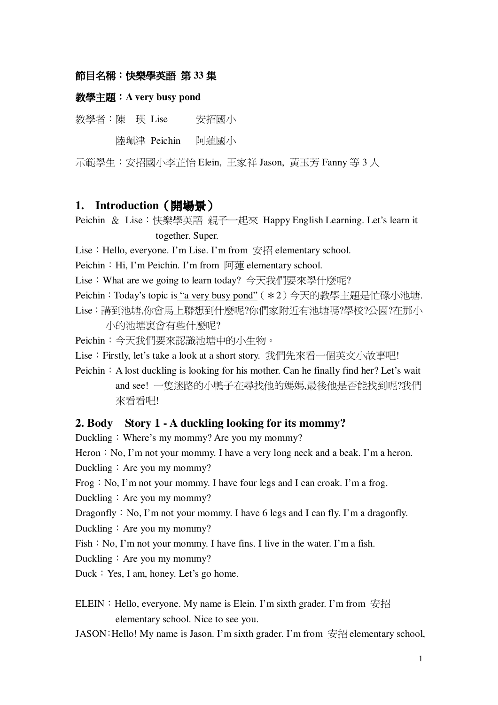### 節目名稱:快樂學英語 第 33 集

#### **A very busy pond**

教學者:陳 瑛 Lise 安招 安招國小

陸珮津 Peichin 阿蓮國小

示範學生:安招國小李芷怡 Elein, 王家祥 Jason, 黃玉芳 Fanny 等 3 人

## **1. Introduction**-

Peichin & Lise:快樂學英語 親子一起來 Happy English Learning. Let's learn it together. Super.

Lise: Hello, everyone. I'm Lise. I'm from  $\frac{1}{2}$  elementary school.

Peichin: Hi, I'm Peichin. I'm from 阿蓮 elementary school.

Lise:What are we going to learn today? 今天我們要來學什麼呢?

Peichin:Today's topic is <u>"a very busy pond"</u>(\*2)今天的教學主題是忙碌小池塘.

Lise:講到池塘,你會馬上聯想到什麼呢?你們家附近有池塘嗎?學校?公園?在那小 小的池塘裏會有些什麼呢?

Peichin:今天我們要來認識池塘中的小生物。

Lise: Firstly, let's take a look at a short story. 我們先來看一個英文小故事吧!

Peichin  $\therefore$  A lost duckling is looking for his mother. Can he finally find her? Let's wait and see! 一隻迷路的小鴨子在尋找他的媽媽,最後他是否能找到呢?我們 來看看吧!

### **2. Body Story 1 - A duckling looking for its mommy?**

Duckling: Where's my mommy? Are you my mommy?

Heron  $:$  No, I'm not your mommy. I have a very long neck and a beak. I'm a heron.

Duckling  $\therefore$  Are you my mommy?

Frog  $:$  No, I'm not your mommy. I have four legs and I can croak. I'm a frog.

Duckling: Are you my mommy?

Dragonfly  $:$  No, I'm not your mommy. I have 6 legs and I can fly. I'm a dragonfly.

Duckling  $\div$  Are you my mommy?

Fish  $:$  No, I'm not your mommy. I have fins. I live in the water. I'm a fish.

Duckling  $\therefore$  Are you my mommy?

Duck  $: Yes, I am, honey. Let's go home.$ 

ELEIN: Hello, everyone. My name is Elein. I'm sixth grader. I'm from  $\mathcal{H}$ elementary school. Nice to see you.

JASON: Hello! My name is Jason. I'm sixth grader. I'm from  $\hat{\mathcal{H}}$  elementary school,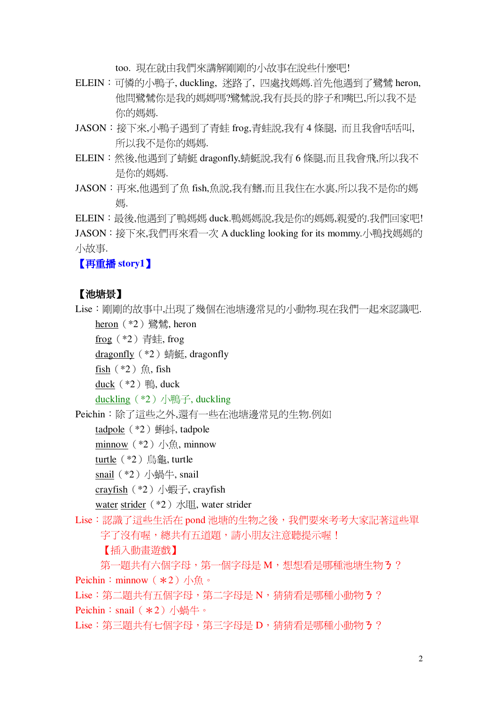too. 現在就由我們來講解剛剛的小故事在說些什麼吧!

- ELEIN: 可憐的小鴨子, duckling, 迷路了, 四處找媽媽.首先他遇到了鷺鷥 heron, 他問鷺鷥你是我的媽媽嗎?鷺鷥說,我有長長的脖子和嘴巴,所以我不是 你的媽媽.
- JASON:接下來,小鴨子遇到了青蚌 frog,青蚌說,我有4條腿, 而且我會咶咶叫, 所以我不是你的媽媽.
- ELEIN: 然後,他遇到了蜻蜓 dragonfly,蜻蜓說,我有6條腿,而且我會飛,所以我不 是你的媽媽.
- JASON: 再來,他遇到了魚 fish,魚說,我有鰭,而且我住在水裏,所以我不是你的媽 娾

ELEIN: 最後,他遇到了鴨媽媽 duck.鴨媽媽說,我是你的媽媽,親愛的.我們回家吧! JASON:接下來,我們再來看一次 A duckling looking for its mommy.小鴨找媽媽的 小故事.

【再重播 story1】

### 【池塘景】

Lise: 剛剛的故事中,出現了幾個在池塘邊常見的小動物.現在我們一起來認識吧.

heron (\*2) 鷺鷥, heron

 $\underline{frog}$  (\*2) 青蛙, frog

dragonfly  $(*2)$  sifiggs, dragonfly

 $fish$  (\*2) 魚, fish

duck  $(*2)$  #, duck

duckling (\*2) 小鴨子, duckling

Peichin:除了這些之外,還有一些在池塘邊常見的生物.例如

tadpole (\*2) 蝌蚪, tadpole

minnow  $(*2)$  /  $\forall$  minnow

turtle (\*2) 烏龜, turtle

snail  $(*2)$  小蝸牛, snail

crayfish  $(*2)$  /  $\sqrt{m}$ , crayfish

water strider (\*2) 水間, water strider

Lise:認識了這些生活在 pond 池塘的生物之後,我們要來考考大家記著這些單 字了沒有喔,總共有五道題,請小朋友注意聽提示喔! 【插入動書游戲】

第一題共有六個字母,第一個字母是M,想想看是哪種池塘生物3? Peichin: minnow  $(*2)$  / $\frac{1}{2}$  .

Lise: 第二題共有五個字母, 第二字母是 N, 猜猜看是哪種小動物 3? Peichin: snail  $(*2)$  小蝸牛。

Lise: 第三題共有七個字母, 第三字母是 D, 猜猜看是哪種小動物 3?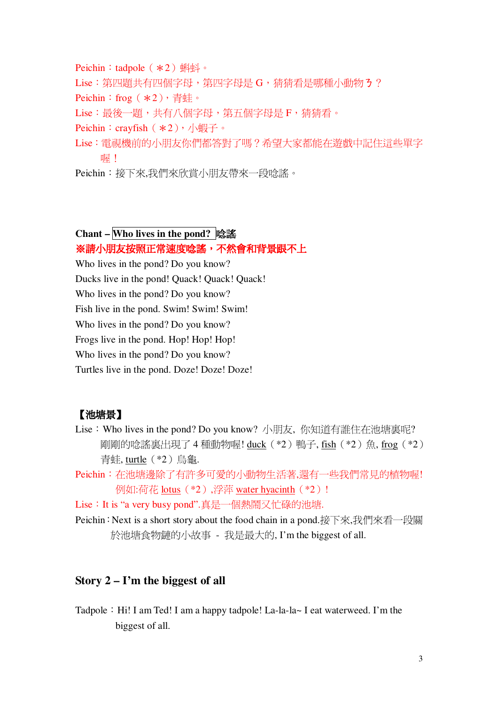Peichin: tadpole  $(*2)$   $\mathbb{R}$   $\mathbb{N}$   $\circ$ Lise:第四題共有四個字母,第四字母是G,猜猜看是哪種小動物3? Peichin: frog  $(*2)$ , 青蛙。 Lise:最後一題,共有八個字母,第五個字母是F,猜猜看。 Peichin: crayfish  $(*2)$ , 小蝦子。 Lise: 雷視機前的小朋友你們都答對了嗎?希望大家都能在游戲中記住這些單字 喔!

Peichin:接下來,我們來欣嘗小朋友帶來一段唸謠。

#### Chant – Who lives in the pond? 唸謠

※請小朋友按照正常速度唸謠,不然會和背景跟不上

Who lives in the pond? Do you know?

Ducks live in the pond! Quack! Quack! Quack!

Who lives in the pond? Do you know?

Fish live in the pond. Swim! Swim! Swim!

Who lives in the pond? Do you know?

Frogs live in the pond. Hop! Hop! Hop!

Who lives in the pond? Do you know?

Turtles live in the pond. Doze! Doze! Doze!

# 【池塘景】

- Lise: Who lives in the pond? Do you know? 小朋友, 你知道有誰住在池塘裏呢? 剛剛的唸謠裏出現了4種動物喔! duck (\*2)鴨子, fish (\*2)魚, frog (\*2) 青蛙, turtle (\*2) 鳥龜.
- Peichin: 在池塘邊除了有許多可愛的小動物生活著,還有一些我們常見的植物喔! 例如:荷花 lotus (\*2).浮萍 water hyacinth (\*2)!

Lise: It is "a very busy pond".真是一個熱鬧又忙碌的池塘.

Peichin: Next is a short story about the food chain in a pond.接下來,我們來看一段關 於池塘食物鏈的小故事 - 我是最大的, I'm the biggest of all.

## Story  $2 - I'm$  the biggest of all

Tadpole: Hi! I am Ted! I am a happy tadpole! La-la-la~ I eat waterweed. I'm the biggest of all.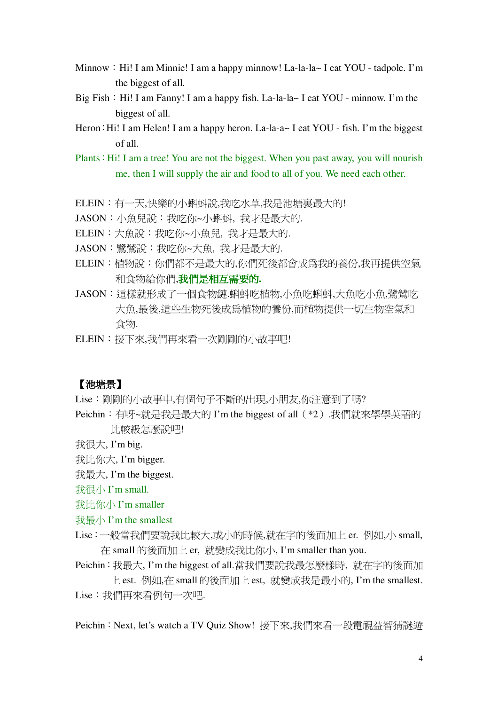- Minnow: Hi! I am Minnie! I am a happy minnow! La-la-la- I eat YOU tadpole. I'm the biggest of all.
- Big Fish: Hi! I am Fanny! I am a happy fish. La-la-la~ I eat YOU minnow. I'm the biggest of all.
- Heron: Hi! I am Helen! I am a happy heron. La-la-a~ I eat YOU fish. I'm the biggest  $of all$
- Plants: Hi! I am a tree! You are not the biggest. When you past away, you will nourish me, then I will supply the air and food to all of you. We need each other.
- ELEIN:有一天,快樂的小蝌蚪說,我吃水草,我是池塘裏最大的!
- JASON: 小魚兒說:我吃你~小蝌蚪, 我才是最大的.
- ELEIN: 大魚說: 我吃你~小魚兒, 我才是最大的.
- JASON:鷺鷥說:我吃你~大魚,我才是最大的.
- ELEIN:植物說:你們都不是最大的,你們死後都會成爲我的養份,我再提供空氣 和食物給你們,我們是相互需要的.
- JASON:這樣就形成了一個食物鏈.蝌蚪吃植物,小魚吃蝌蚪,大魚吃小魚,鷺鷥吃 大魚,最後,這些生物死後成爲植物的養份,而植物提供一切生物空氣和 食物.
- ELEIN:接下來,我們再來看一次剛剛的小故事吧!

## 【池塘景】

Lise: 剛剛的小故事中,有個句子不斷的出現,小朋友,你注意到了嗎?

Peichin: 有呀~就是我是最大的 I'm the biggest of all (\*2).我們就來學學英語的 比較級怎麼說吧!

我很大. I'm big.

我比你大, I'm bigger.

我最大. I'm the biggest.

我很小 I'm small.

我比你小 I'm smaller

### 我最小 I'm the smallest

Lise:一般當我們要說我比較大,或小的時候,就在字的後面加上 er. 例如,小 small, 在 small 的後面加上 er, 就變成我比你小, I'm smaller than you.

Peichin: 我最大, I'm the biggest of all.當我們要說我最怎麼樣時, 就在字的後面加

上est. 例如,在 small 的後面加上est, 就變成我是最小的, I'm the smallest. Lise: 我們再來看例句一次吧.

Peichin: Next, let's watch a TV Quiz Show! 接下來,我們來看一段電視益智猜謎游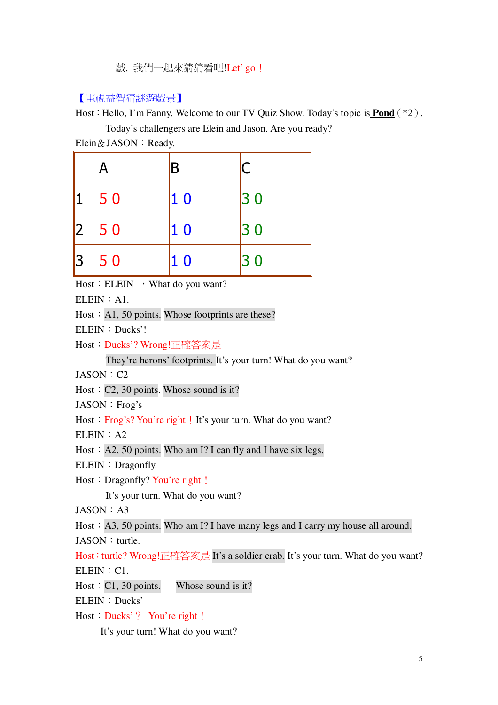戲,我們一起來猜猜看吧!Let'go!

### 【電視益智猜謎遊戲景】

Host: Hello, I'm Fanny. Welcome to our TV Quiz Show. Today's topic is **Pond**  $(*2)$ .

Today's challengers are Elein and Jason. Are you ready?

Elein & JASON : Ready.

|           |    | B              | C  |
|-----------|----|----------------|----|
|           | 50 | 1 <sub>0</sub> | 30 |
| 12        | 50 | <b>10</b>      | 30 |
| <u> 3</u> | 50 | <b>10</b>      | 30 |

Host: ELEIN , What do you want?

 $ELEIN: A1$ 

Host: A1, 50 points. Whose footprints are these?

ELEIN: Ducks'!

Host: Ducks'? Wrong!正確答案是

They're herons' footprints. It's your turn! What do you want?

 $JASON: C2$ 

Host:  $C2$ , 30 points. Whose sound is it?

JASON : Frog's

Host: Frog's? You're right! It's your turn. What do you want?

 $ELEIN: A2$ 

Host: A2, 50 points. Who am I? I can fly and I have six legs.

ELEIN: Dragonfly.

Host: Dragonfly? You're right!

It's your turn. What do you want?

 $IASON: A3$ 

Host: A3, 50 points. Who am I? I have many legs and I carry my house all around. JASON : turtle.

Host: turtle? Wrong!正確答案是 It's a soldier crab. It's your turn. What do you want?  $ELEIN : C1.$ 

Host:  $C1$ , 30 points. Whose sound is it?

ELEIN: Ducks'

Host : Ducks'? You're right !

It's your turn! What do you want?